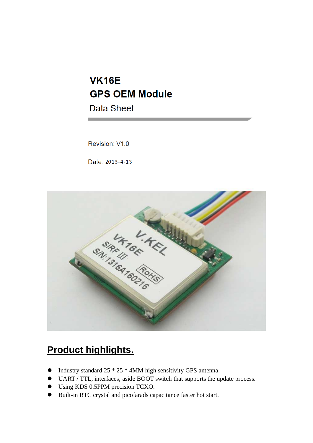# **VK16E GPS OEM Module**

**Data Sheet** 

Revision: V1.0

Date: 2013-4-13



## **Product highlights.**

- $\bullet$  Industry standard 25  $*$  25  $*$  4MM high sensitivity GPS antenna.
- UART / TTL, interfaces, aside BOOT switch that supports the update process.
- Using KDS 0.5PPM precision TCXO.
- Built-in RTC crystal and picofarads capacitance faster hot start.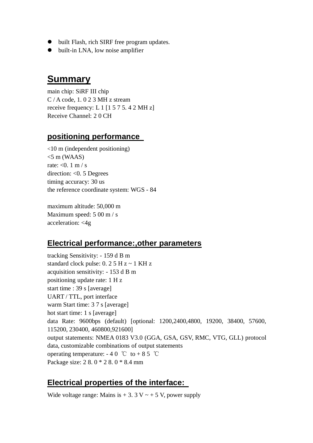- $\bullet$  built Flash, rich SIRF free program updates.
- **built-in LNA, low noise amplifier**

#### **Summary**

main chip: SiRF III chip C / A code, 1. 0 2 3 MH z stream receive frequency: L 1 [1 5 7 5. 4 2 MH z] Receive Channel: 2 0 CH

#### **positioning performance**

<10 m (independent positioning)  $<$ 5 m (WAAS) rate:  $< 0.1$  m / s direction: <0. 5 Degrees timing accuracy: 30 us the reference coordinate system: WGS - 84

maximum altitude: 50,000 m Maximum speed: 5 00 m / s acceleration: <4g

#### **Electrical performance:,other parameters**

tracking Sensitivity: - 159 d B m standard clock pulse:  $0.25$  H  $z \sim 1$  KH  $z$ acquisition sensitivity: - 153 d B m positioning update rate: 1 H z start time : 39 s [average] UART / TTL, port interface warm Start time: 3 7 s [average] hot start time: 1 s [average] data Rate: 9600bps (default) [optional: 1200,2400,4800, 19200, 38400, 57600, 115200, 230400, 460800,921600] output statements: NMEA 0183 V3.0 (GGA, GSA, GSV, RMC, VTG, GLL) protocol data, customizable combinations of output statements operating temperature:  $-40$  °C to  $+85$  °C Package size: 2 8. 0 \* 2 8. 0 \* 8.4 mm

#### **Electrical properties of the interface:**

Wide voltage range: Mains is  $+3.3$  V  $\sim +5$  V, power supply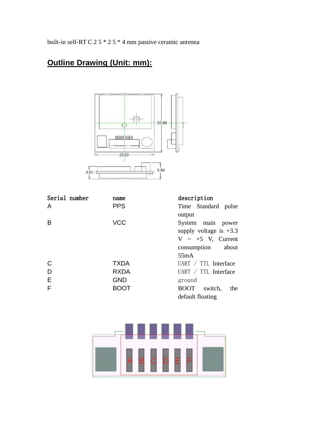built-in self-RT C 2 5 \* 2 5 \* 4 mm passive ceramic antenna

## **Outline Drawing (Unit: mm):**



| Serial number | name        | description              |
|---------------|-------------|--------------------------|
| A             | <b>PPS</b>  | Time Standard pulse      |
|               |             | output                   |
| B             | <b>VCC</b>  | System main power        |
|               |             | supply voltage is $+3.3$ |
|               |             | $V \sim +5$ V, Current   |
|               |             | consumption about        |
|               |             | 55mA                     |
| C             | <b>TXDA</b> | UART $/$ TTL Interface   |
| D             | <b>RXDA</b> | UART / TTL Interface     |
| E             | <b>GND</b>  | ground                   |
| F             | <b>BOOT</b> | BOOT switch,<br>the      |
|               |             | default floating         |

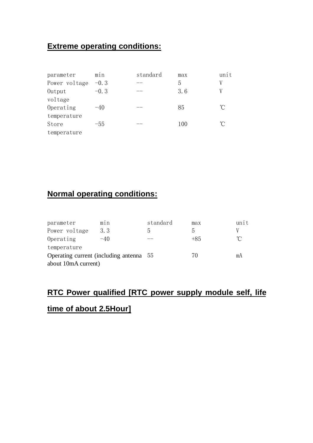## **Extreme operating conditions:**

| parameter     | m1n    | standard | max | unit         |
|---------------|--------|----------|-----|--------------|
| Power voltage | $-0.3$ | __       | 5   |              |
| Output        | $-0.3$ |          | 3.6 | V            |
| voltage       |        |          |     |              |
| Operating     | $-40$  | ____     | 85  | $^{\circ}$ C |
| temperature   |        |          |     |              |
| Store         | -55    |          | 100 | °C           |
| temperature   |        |          |     |              |

## **Normal operating conditions:**

| parameter           | m1n                                   | standard | max   | unit |
|---------------------|---------------------------------------|----------|-------|------|
| Power voltage       | 3.3                                   |          | h.    | V    |
| Operating           | $-40$                                 |          | $+85$ | ิ่∩° |
| temperature         |                                       |          |       |      |
|                     | Operating current (including antenna) | . ხხ     | 70    | mΑ   |
| about 10mA current) |                                       |          |       |      |

## **RTC Power qualified [RTC power supply module self, life**

#### **time of about 2.5Hour]**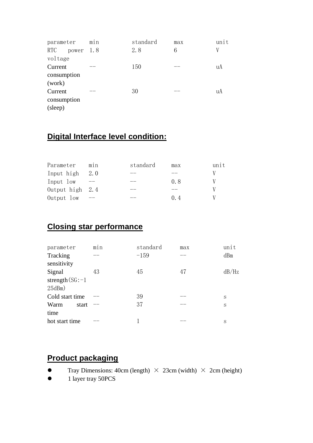| parameter        | min | standard | max | unit |
|------------------|-----|----------|-----|------|
| RTC<br>power 1.8 |     | 2.8      | 6   | V    |
| voltage          |     |          |     |      |
| Current          |     | 150      |     | uA   |
| consumption      |     |          |     |      |
| (work)           |     |          |     |      |
| Current          |     | 30       |     | uA   |
| consumption      |     |          |     |      |
| (sleep)          |     |          |     |      |

## **Digital Interface level condition:**

| Parameter         | m1n | standard | max     | unit |
|-------------------|-----|----------|---------|------|
| Input high        | 2.0 |          |         |      |
| Input low         |     |          | 08      |      |
| Output high $2.4$ |     |          |         |      |
| Output low        |     |          | $(1)$ 4 |      |

#### **Closing star performance**

| parameter           | m1n | standard | max | unit  |
|---------------------|-----|----------|-----|-------|
| Tracking            |     | $-159$   |     | dBm   |
| sensitivity         |     |          |     |       |
| Signal              | 43  | 45       | 47  | dB/Hz |
| strength $(SG: -1)$ |     |          |     |       |
| 25dBm)              |     |          |     |       |
| Cold start time     |     | 39       |     | S     |
| Warm<br>start       |     | 37       |     | S     |
| time                |     |          |     |       |
| hot start time      |     |          |     | S     |

#### **Product packaging**

- **•** Tray Dimensions: 40cm (length)  $\times$  23cm (width)  $\times$  2cm (height)
- $\bullet$  1 layer tray 50PCS